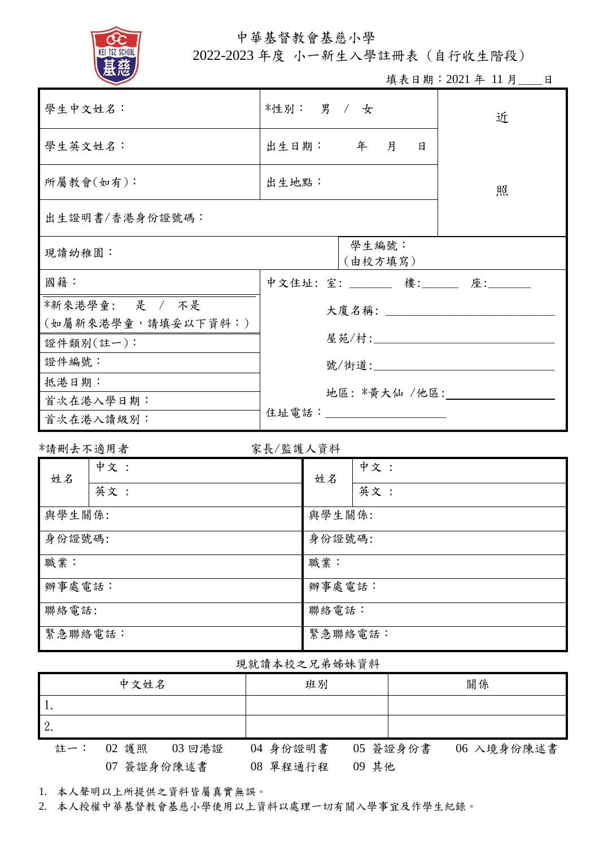

中華基督教會基慈小學

2022-2023 年度 小一新生入學註冊表 (自行收生階段)

填表日期: 2021年 11月\_\_\_\_日

| 學生中文姓名:                                                                                       | *性別: 男 / 女                                                      |          |                  | 近 |   |                                   |
|-----------------------------------------------------------------------------------------------|-----------------------------------------------------------------|----------|------------------|---|---|-----------------------------------|
| 學生英文姓名:                                                                                       |                                                                 | 出生日期: 年月 |                  |   | 日 |                                   |
| 所屬教會(如有):                                                                                     | 出生地點:                                                           |          |                  | 照 |   |                                   |
| 出生證明書/香港身份證號碼:                                                                                |                                                                 |          |                  |   |   |                                   |
| 現讀幼稚園:                                                                                        |                                                                 |          | 學生編號:<br>(由校方填寫) |   |   |                                   |
| 國籍:                                                                                           |                                                                 |          |                  |   |   | 中文住址: 室: ______ 樓: _____ 座: _____ |
| *新來港學童: 是 / 不是<br>(如屬新來港學童,請填妥以下資料:)<br>證件類別(註一):<br>證件編號:<br>抵港日期:<br>首次在港入學日期:<br>首次在港入讀級別: | 大廈名稱: 2008年10月18日<br>屋苑/村:____________________<br>地區: *黃大仙 /他區: |          |                  |   |   |                                   |
| *請刪去不適用者                                                                                      | 家長/監護人資料                                                        |          |                  |   |   |                                   |
| 中文:<br>姓名<br>英文:                                                                              |                                                                 | 姓名       | 中文:<br>英文:       |   |   |                                   |
| 與學生關係:                                                                                        |                                                                 | 與學生關係:   |                  |   |   |                                   |

## 現就讀本校之兄弟姊妹資料

|     | 中文姓名            | 班別                | 關係                     |
|-----|-----------------|-------------------|------------------------|
|     |                 |                   |                        |
|     |                 |                   |                        |
| 註一: | 02 護照<br>03 回港證 | 04 身份證明書          | 05 簽證身份書<br>06 入境身份陳述書 |
|     | 07 簽證身份陳述書      | 09 其他<br>08 單程通行程 |                        |

1. 本人聲明以上所提供之資料皆屬真實無誤。

2. 本人授權中華基督教會基慈小學使用以上資料以處理一切有關入學事宜及作學生紀錄。

身份證號碼: 身份證號碼:

辦事處電話: カラン アンチュー かいしゃ アンディング かいきょう かいかん かいしょう かいしょう かいしょう かいしょう かいしょう かいしゃ かいしゃ かいしゃ かいしゃ かいしょう

緊急聯絡電話: またま またま おおところ うちょう 緊急聯絡電話:

聯絡電話: アンチュール (職務電話: トランチング)

職業: